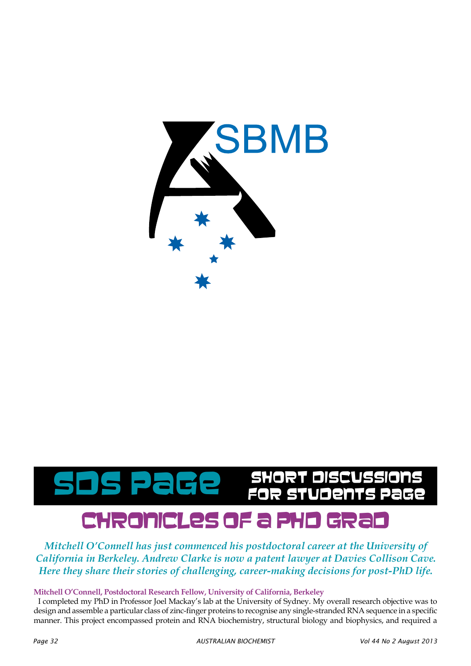

## chronicles of a phd grad B**GC** SHORT DISCUSSIONS Page **1999**

*Mitchell O'Connell has just commenced his postdoctoral career at the University of California in Berkeley. Andrew Clarke is now a patent lawyer at Davies Collison Cave. Here they share their stories of challenging, career-making decisions for post-PhD life.*

## **Mitchell O'Connell, Postdoctoral Research Fellow, University of California, Berkeley**

I completed my PhD in Professor Joel Mackay's lab at the University of Sydney. My overall research objective was to design and assemble a particular class of zinc-finger proteins to recognise any single-stranded RNA sequence in a specific manner. This project encompassed protein and RNA biochemistry, structural biology and biophysics, and required a